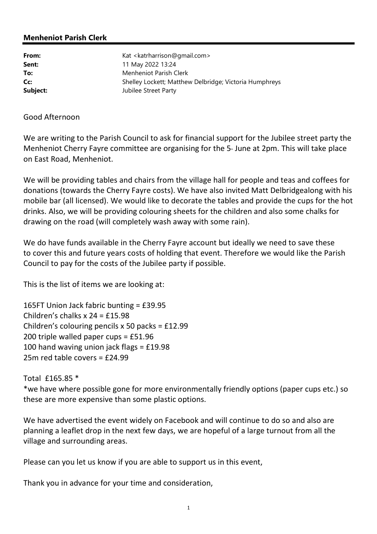## Menheniot Parish Clerk

| From:    | Kat <katrharrison@gmail.com></katrharrison@gmail.com>  |
|----------|--------------------------------------------------------|
| Sent:    | 11 May 2022 13:24                                      |
| To:      | Menheniot Parish Clerk                                 |
| Cc:      | Shelley Lockett; Matthew Delbridge; Victoria Humphreys |
| Subject: | Jubilee Street Party                                   |

## Good Afternoon

We are writing to the Parish Council to ask for financial support for the Jubilee street party the Menheniot Cherry Fayre committee are organising for the  $5<sub>th</sub>$  June at 2pm. This will take place on East Road, Menheniot.

We will be providing tables and chairs from the village hall for people and teas and coffees for donations (towards the Cherry Fayre costs). We have also invited Matt Delbridgealong with his mobile bar (all licensed). We would like to decorate the tables and provide the cups for the hot drinks. Also, we will be providing colouring sheets for the children and also some chalks for drawing on the road (will completely wash away with some rain).

We do have funds available in the Cherry Fayre account but ideally we need to save these to cover this and future years costs of holding that event. Therefore we would like the Parish Council to pay for the costs of the Jubilee party if possible.

This is the list of items we are looking at:

165FT Union Jack fabric bunting = £39.95 Children's chalks x 24 = £15.98 Children's colouring pencils x 50 packs = £12.99 200 triple walled paper cups = £51.96 100 hand waving union jack flags = £19.98 25m red table covers = £24.99

Total £165.85 \* \*we have where possible gone for more environmentally friendly options (paper cups etc.) so these are more expensive than some plastic options.

We have advertised the event widely on Facebook and will continue to do so and also are planning a leaflet drop in the next few days, we are hopeful of a large turnout from all the village and surrounding areas.

Please can you let us know if you are able to support us in this event,

Thank you in advance for your time and consideration,